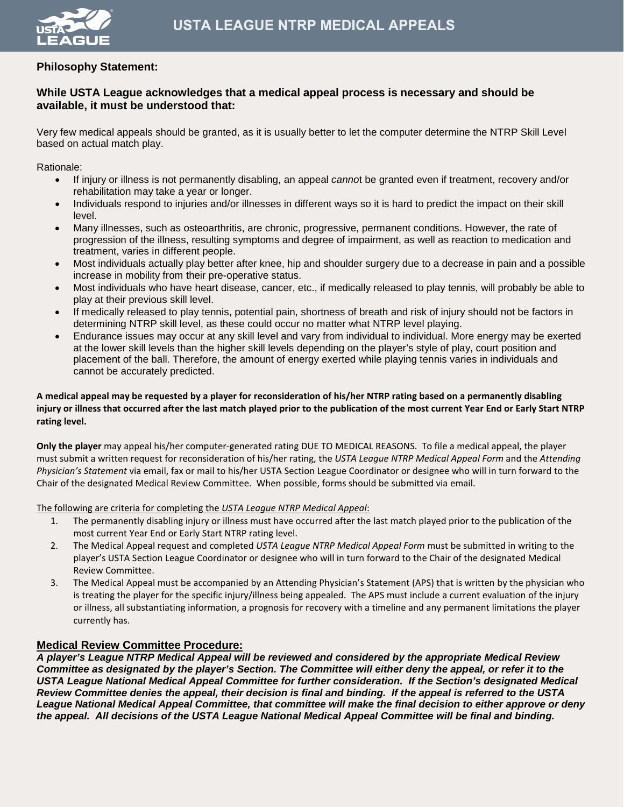

# **Philosophy Statement:**

# **While USTA League acknowledges that a medical appeal process is necessary and should be available, it must be understood that:**

Very few medical appeals should be granted, as it is usually better to let the computer determine the NTRP Skill Level based on actual match play.

Rationale:

- If injury or illness is not permanently disabling, an appeal *canno*t be granted even if treatment, recovery and/or rehabilitation may take a year or longer.
- Individuals respond to injuries and/or illnesses in different ways so it is hard to predict the impact on their skill level.
- Many illnesses, such as osteoarthritis, are chronic, progressive, permanent conditions. However, the rate of progression of the illness, resulting symptoms and degree of impairment, as well as reaction to medication and treatment, varies in different people.
- Most individuals actually play better after knee, hip and shoulder surgery due to a decrease in pain and a possible increase in mobility from their pre-operative status.
- Most individuals who have heart disease, cancer, etc., if medically released to play tennis, will probably be able to play at their previous skill level.
- If medically released to play tennis, potential pain, shortness of breath and risk of injury should not be factors in determining NTRP skill level, as these could occur no matter what NTRP level playing.
- Endurance issues may occur at any skill level and vary from individual to individual. More energy may be exerted at the lower skill levels than the higher skill levels depending on the player's style of play, court position and placement of the ball. Therefore, the amount of energy exerted while playing tennis varies in individuals and cannot be accurately predicted.

#### **A medical appeal may be requested by a player for reconsideration of his/her NTRP rating based on a permanently disabling injury or illness that occurred after the last match played prior to the publication of the most current Year End or Early Start NTRP rating level.**

**Only the player** may appeal his/her computer-generated rating DUE TO MEDICAL REASONS. To file a medical appeal, the player must submit a written request for reconsideration of his/her rating, the *USTA League NTRP Medical Appeal Form* and the *Attending Physician's Statement* via email, fax or mail to his/her USTA Section League Coordinator or designee who will in turn forward to the Chair of the designated Medical Review Committee. When possible, forms should be submitted via email.

The following are criteria for completing the *USTA League NTRP Medical Appeal*:

- 1. The permanently disabling injury or illness must have occurred after the last match played prior to the publication of the most current Year End or Early Start NTRP rating level.
- 2. The Medical Appeal request and completed *USTA League NTRP Medical Appeal Form* must be submitted in writing to the player's USTA Section League Coordinator or designee who will in turn forward to the Chair of the designated Medical Review Committee.
- 3. The Medical Appeal must be accompanied by an Attending Physician's Statement (APS) that is written by the physician who is treating the player for the specific injury/illness being appealed. The APS must include a current evaluation of the injury or illness, all substantiating information, a prognosis for recovery with a timeline and any permanent limitations the player currently has.

### **Medical Review Committee Procedure:**

*A player's League NTRP Medical Appeal will be reviewed and considered by the appropriate Medical Review Committee as designated by the player's Section. The Committee will either deny the appeal, or refer it to the USTA League National Medical Appeal Committee for further consideration. If the Section's designated Medical Review Committee denies the appeal, their decision is final and binding. If the appeal is referred to the USTA League National Medical Appeal Committee, that committee will make the final decision to either approve or deny the appeal. All decisions of the USTA League National Medical Appeal Committee will be final and binding.*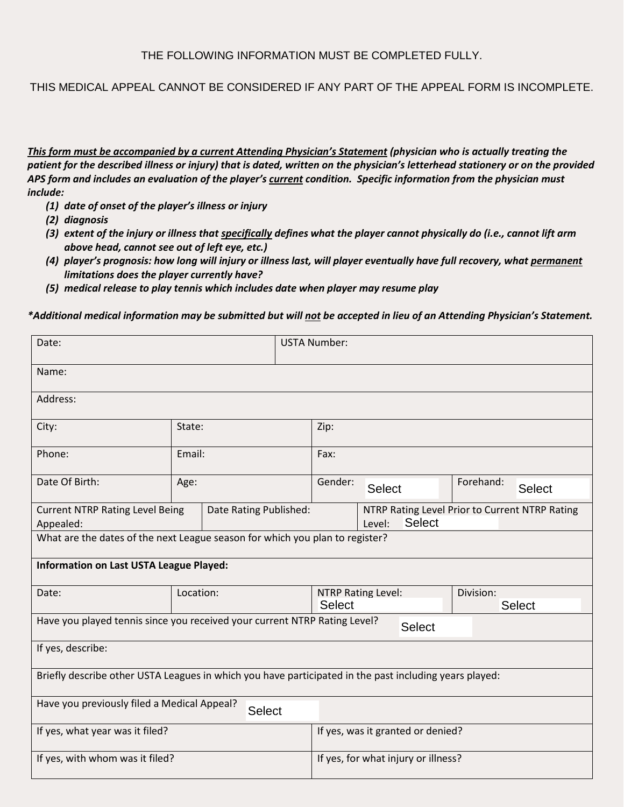THIS MEDICAL APPEAL CANNOT BE CONSIDERED IF ANY PART OF THE APPEAL FORM IS INCOMPLETE.

*This form must be accompanied by a current Attending Physician's Statement (physician who is actually treating the patient for the described illness or injury) that is dated, written on the physician's letterhead stationery or on the provided APS form and includes an evaluation of the player's current condition. Specific information from the physician must include:*

- *(1) date of onset of the player's illness or injury*
- *(2) diagnosis*
- *(3) extent of the injury or illness that specifically defines what the player cannot physically do (i.e., cannot lift arm above head, cannot see out of left eye, etc.)*
- *(4) player's prognosis: how long will injury or illness last, will player eventually have full recovery, what permanent limitations does the player currently have?*
- *(5) medical release to play tennis which includes date when player may resume play*

*\*Additional medical information may be submitted but will not be accepted in lieu of an Attending Physician's Statement.*

| Date:                                                                                                  |                                                                  |  | <b>USTA Number:</b>                 |                                                                           |  |               |               |  |
|--------------------------------------------------------------------------------------------------------|------------------------------------------------------------------|--|-------------------------------------|---------------------------------------------------------------------------|--|---------------|---------------|--|
| Name:                                                                                                  |                                                                  |  |                                     |                                                                           |  |               |               |  |
| Address:                                                                                               |                                                                  |  |                                     |                                                                           |  |               |               |  |
| City:                                                                                                  | State:                                                           |  | Zip:                                |                                                                           |  |               |               |  |
| Phone:                                                                                                 | Email:                                                           |  | Fax:                                |                                                                           |  |               |               |  |
| Date Of Birth:                                                                                         | Age:                                                             |  | Gender:<br><b>Select</b>            |                                                                           |  | Forehand:     | <b>Select</b> |  |
| Appealed:                                                                                              | <b>Current NTRP Rating Level Being</b><br>Date Rating Published: |  |                                     | NTRP Rating Level Prior to Current NTRP Rating<br><b>Select</b><br>Level: |  |               |               |  |
| What are the dates of the next League season for which you plan to register?                           |                                                                  |  |                                     |                                                                           |  |               |               |  |
| <b>Information on Last USTA League Played:</b>                                                         |                                                                  |  |                                     |                                                                           |  |               |               |  |
| Date:                                                                                                  | Location:                                                        |  |                                     | <b>NTRP Rating Level:</b>                                                 |  | Division:     |               |  |
|                                                                                                        |                                                                  |  | <b>Select</b>                       |                                                                           |  | <b>Select</b> |               |  |
| Have you played tennis since you received your current NTRP Rating Level?                              |                                                                  |  |                                     | <b>Select</b>                                                             |  |               |               |  |
| If yes, describe:                                                                                      |                                                                  |  |                                     |                                                                           |  |               |               |  |
| Briefly describe other USTA Leagues in which you have participated in the past including years played: |                                                                  |  |                                     |                                                                           |  |               |               |  |
| Have you previously filed a Medical Appeal?<br>Select                                                  |                                                                  |  |                                     |                                                                           |  |               |               |  |
| If yes, what year was it filed?                                                                        |                                                                  |  | If yes, was it granted or denied?   |                                                                           |  |               |               |  |
| If yes, with whom was it filed?                                                                        |                                                                  |  | If yes, for what injury or illness? |                                                                           |  |               |               |  |